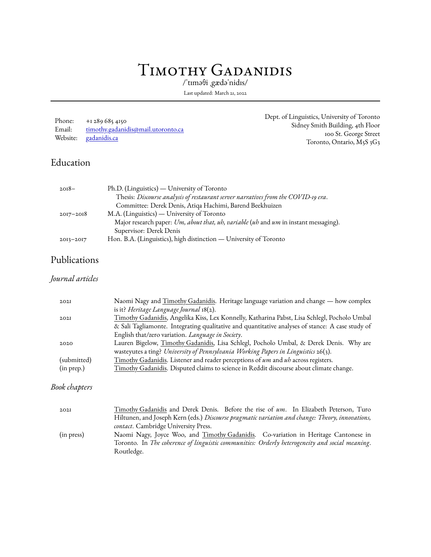# Timothy Gadanidis

/ˈtɪməθi ˌgædəˈnidɪs/

Last updated: March 21, 2022

| Phone: | $+12896854150$                     |
|--------|------------------------------------|
| Email: | timothy.gadanidis@mail.utoronto.ca |
|        | Website: gadanidis.ca              |

Routledge.

Dept. of Linguistics, University of Toronto Sidney Smith Building, 4th Floor 100 St. George Street Toronto, Ontario, M5S 3G3

### Education

| $2018-$       | Ph.D. (Linguistics) — University of Toronto                                          |
|---------------|--------------------------------------------------------------------------------------|
|               | Thesis: Discourse analysis of restaurant server narratives from the COVID-19 era.    |
|               | Committee: Derek Denis, Atiqa Hachimi, Barend Beekhuizen                             |
| $2017 - 2018$ | M.A. (Linguistics) — University of Toronto                                           |
|               | Major research paper: Um, about that, uh, variable (uh and um in instant messaging). |
|               | Supervisor: Derek Denis                                                              |
| $2013 - 2017$ | Hon. B.A. (Linguistics), high distinction — University of Toronto                    |

#### Publications

#### *Journal articles*

| 202I          | Naomi Nagy and Timothy Gadanidis. Heritage language variation and change — how complex                                                                                       |  |  |  |  |
|---------------|------------------------------------------------------------------------------------------------------------------------------------------------------------------------------|--|--|--|--|
|               | is it? Heritage Language Journal 18(2).                                                                                                                                      |  |  |  |  |
| 202I          | Timothy Gadanidis, Angelika Kiss, Lex Konnelly, Katharina Pabst, Lisa Schlegl, Pocholo Umbal                                                                                 |  |  |  |  |
|               | & Sali Tagliamonte. Integrating qualitative and quantitative analyses of stance: A case study of                                                                             |  |  |  |  |
|               | English that/zero variation. Language in Society.                                                                                                                            |  |  |  |  |
| 2020          | Lauren Bigelow, Timothy Gadanidis, Lisa Schlegl, Pocholo Umbal, & Derek Denis. Why are<br>wasteyutes a ting? University of Pennsylvania Working Papers in Linguistics 26(3). |  |  |  |  |
| (submitted)   | Timothy Gadanidis. Listener and reader perceptions of um and uh across registers.                                                                                            |  |  |  |  |
|               |                                                                                                                                                                              |  |  |  |  |
| (in prep.)    | Timothy Gadanidis. Disputed claims to science in Reddit discourse about climate change.                                                                                      |  |  |  |  |
|               |                                                                                                                                                                              |  |  |  |  |
| Book chapters |                                                                                                                                                                              |  |  |  |  |
|               |                                                                                                                                                                              |  |  |  |  |
| 202I          | Timothy Gadanidis and Derek Denis. Before the rise of um. In Elizabeth Peterson, Turo                                                                                        |  |  |  |  |
|               | Hiltunen, and Joseph Kern (eds.) Discourse pragmatic variation and change: Theory, innovations,                                                                              |  |  |  |  |
|               |                                                                                                                                                                              |  |  |  |  |
|               | contact. Cambridge University Press.                                                                                                                                         |  |  |  |  |

(in press) Naomi Nagy, Joyce Woo, and Timothy Gadanidis. Co-variation in Heritage Cantonese in

Toronto. In *The coherence of linguistic communities: Orderly heterogeneity and social meaning*.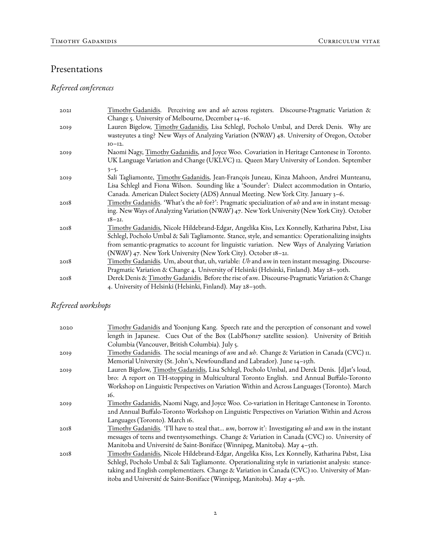### Presentations

# *Refereed conferences*

| 202I | Timothy Gadanidis. Perceiving um and uh across registers. Discourse-Pragmatic Variation &          |
|------|----------------------------------------------------------------------------------------------------|
|      | Change 5. University of Melbourne, December 14-16.                                                 |
| 2019 | Lauren Bigelow, Timothy Gadanidis, Lisa Schlegl, Pocholo Umbal, and Derek Denis. Why are           |
|      | wasteyutes a ting? New Ways of Analyzing Variation (NWAV) 48. University of Oregon, October        |
|      | $IO - I2.$                                                                                         |
| 2019 | Naomi Nagy, Timothy Gadanidis, and Joyce Woo. Covariation in Heritage Cantonese in Toronto.        |
|      | UK Language Variation and Change (UKLVC) 12. Queen Mary University of London. September            |
|      | $3 - 5$                                                                                            |
| 2019 | Sali Tagliamonte, Timothy Gadanidis, Jean-François Juneau, Kinza Mahoon, Andrei Munteanu,          |
|      | Lisa Schlegl and Fiona Wilson. Sounding like a 'Sounder': Dialect accommodation in Ontario,        |
|      | Canada. American Dialect Society (ADS) Annual Meeting. New York City. January 3-6.                 |
| 2018 | Timothy Gadanidis. 'What's the uh for?': Pragmatic specialization of uh and um in instant messag-  |
|      | ing. New Ways of Analyzing Variation (NWAV) 47. New York University (New York City). October       |
|      | $18 - 21.$                                                                                         |
| 2018 | Timothy Gadanidis, Nicole Hildebrand-Edgar, Angelika Kiss, Lex Konnelly, Katharina Pabst, Lisa     |
|      | Schlegl, Pocholo Umbal & Sali Tagliamonte. Stance, style, and semantics: Operationalizing insights |
|      | from semantic-pragmatics to account for linguistic variation. New Ways of Analyzing Variation      |
|      | (NWAV) 47. New York University (New York City). October 18–21.                                     |
| 2018 | Timothy Gadanidis. Um, about that, uh, variable: Uh and um in teen instant messaging. Discourse-   |
|      | Pragmatic Variation & Change 4. University of Helsinki (Helsinki, Finland). May 28-30th.           |
| 2018 | Derek Denis & Timothy Gadanidis. Before the rise of um. Discourse-Pragmatic Variation & Change     |
|      | 4. University of Helsinki (Helsinki, Finland). May 28-30th.                                        |

### *Refereed workshops*

| 2020 | Timothy Gadanidis and Yoonjung Kang. Speech rate and the perception of consonant and vowel          |
|------|-----------------------------------------------------------------------------------------------------|
|      | length in Japanese. Cues Out of the Box (LabPhonr7 satellite session). University of British        |
|      | Columbia (Vancouver, British Columbia). July 5.                                                     |
| 2019 | Timothy Gadanidis. The social meanings of um and uh. Change & Variation in Canada (CVC) 11.         |
|      | Memorial University (St. John's, Newfoundland and Labrador). June 14-15th.                          |
| 2019 | Lauren Bigelow, Timothy Gadanidis, Lisa Schlegl, Pocholo Umbal, and Derek Denis. [d]at's loud,      |
|      | bro: A report on TH-stopping in Multicultural Toronto English. 2nd Annual Buffalo-Toronto           |
|      | Workshop on Linguistic Perspectives on Variation Within and Across Languages (Toronto). March       |
|      | 16.                                                                                                 |
| 2019 | Timothy Gadanidis, Naomi Nagy, and Joyce Woo. Co-variation in Heritage Cantonese in Toronto.        |
|      | 2nd Annual Buffalo-Toronto Workshop on Linguistic Perspectives on Variation Within and Across       |
|      | Languages (Toronto). March 16.                                                                      |
| 2018 | Timothy Gadanidis. 'I'll have to steal that um, borrow it': Investigating uh and um in the instant  |
|      | messages of teens and twentysomethings. Change & Variation in Canada (CVC) 10. University of        |
|      | Manitoba and Université de Saint-Boniface (Winnipeg, Manitoba). May 4-5th.                          |
| 2018 | Timothy Gadanidis, Nicole Hildebrand-Edgar, Angelika Kiss, Lex Konnelly, Katharina Pabst, Lisa      |
|      | Schlegl, Pocholo Umbal & Sali Tagliamonte. Operationalizing style in variationist analysis: stance- |
|      | taking and English complementizers. Change & Variation in Canada (CVC) 10. University of Man-       |
|      | itoba and Université de Saint-Boniface (Winnipeg, Manitoba). May 4-5th.                             |
|      |                                                                                                     |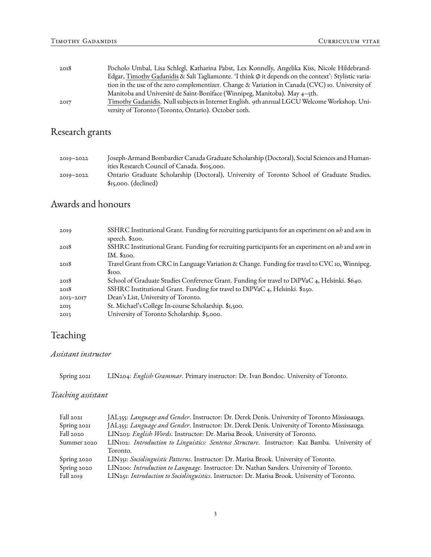| 2018 | Pocholo Umbal, Lisa Schlegl, Katharina Pabst, Lex Konnelly, Angelika Kiss, Nicole Hildebrand-                |
|------|--------------------------------------------------------------------------------------------------------------|
|      | Edgar, Timothy Gadanidis & Sali Tagliamonte. 'I think $\varphi$ it depends on the context': Stylistic varia- |
|      | tion in the use of the zero complementizer. Change & Variation in Canada (CVC) io. University of             |
|      | Manitoba and Université de Saint-Boniface (Winnipeg, Manitoba). May 4-5th.                                   |
| 2017 | Timothy Gadanidis. Null subjects in Internet English. 9th annual LGCU Welcome Workshop. Uni-                 |
|      | versity of Toronto (Toronto, Ontario). October 20th.                                                         |

# Research grants

| $20I9 - 2022$ | Joseph-Armand Bombardier Canada Graduate Scholarship (Doctoral), Social Sciences and Human- |
|---------------|---------------------------------------------------------------------------------------------|
|               | ities Research Council of Canada. \$105,000.                                                |
| $20I9 - 2022$ | Ontario Graduate Scholarship (Doctoral), University of Toronto School of Graduate Studies.  |
|               | $s15,000$ . (declined)                                                                      |

### Awards and honours

| 2019          | SSHRC Institutional Grant. Funding for recruiting participants for an experiment on $ub$ and $um$ in |
|---------------|------------------------------------------------------------------------------------------------------|
|               | speech. $$200.$                                                                                      |
| 2018          | SSHRC Institutional Grant. Funding for recruiting participants for an experiment on uh and um in     |
|               | IM. \$200.                                                                                           |
| 2018          | Travel Grant from CRC in Language Variation & Change. Funding for travel to CVC 10, Winnipeg.        |
|               | \$100.                                                                                               |
| 2018          | School of Graduate Studies Conference Grant. Funding for travel to DiPVaC 4, Helsinki. \$640.        |
| 2018          | SSHRC Institutional Grant. Funding for travel to DiPVaC 4, Helsinki. \$250.                          |
| $2013 - 2017$ | Dean's List, University of Toronto.                                                                  |
| 2015          | St. Michael's College In-course Scholarship. \$1,500.                                                |
| 2013          | University of Toronto Scholarship. \$5,000.                                                          |
|               |                                                                                                      |

# Teaching

#### *Assistant instructor*

Spring 2021 LIN204: *English Grammar*. Primary instructor: Dr. Ivan Bondoc. University of Toronto.

#### *Teaching assistant*

| Fall 2021   | JAL355: Language and Gender. Instructor: Dr. Derek Denis. University of Toronto Mississauga.   |  |  |
|-------------|------------------------------------------------------------------------------------------------|--|--|
| Spring 2021 | JAL355: Language and Gender. Instructor: Dr. Derek Denis. University of Toronto Mississauga.   |  |  |
| Fall 2020   | LIN203: English Words. Instructor: Dr. Marisa Brook. University of Toronto.                    |  |  |
| Summer 2020 | LINI02: Introduction to Linguistics: Sentence Structure. Instructor: Kaz Bamba. University of  |  |  |
|             | Toronto.                                                                                       |  |  |
| Spring 2020 | LIN351: Sociolinguistic Patterns. Instructor: Dr. Marisa Brook. University of Toronto.         |  |  |
| Spring 2020 | LIN200: Introduction to Language. Instructor: Dr. Nathan Sanders. University of Toronto.       |  |  |
| Fall 2019   | LIN251: Introduction to Sociolinguistics. Instructor: Dr. Marisa Brook. University of Toronto. |  |  |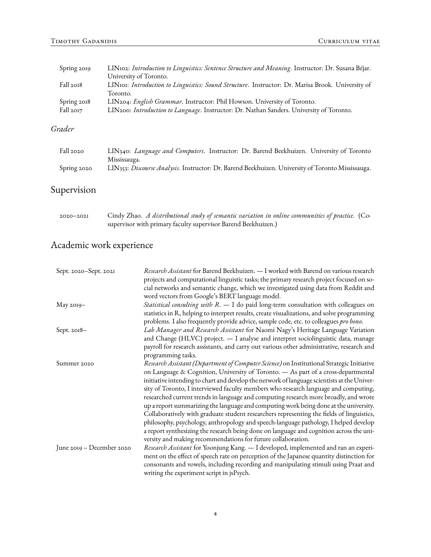| Spring 2019 | LIN102: Introduction to Linguistics: Sentence Structure and Meaning. Instructor: Dr. Susana Béjar. |
|-------------|----------------------------------------------------------------------------------------------------|
|             | University of Toronto.                                                                             |
| Fall 2018   | LINIOI: Introduction to Linguistics: Sound Structure. Instructor: Dr. Marisa Brook. University of  |
|             | Toronto.                                                                                           |
| Spring 2018 | LIN204: English Grammar. Instructor: Phil Howson. University of Toronto.                           |
| Fall 2017   | LIN200: Introduction to Language. Instructor: Dr. Nathan Sanders. University of Toronto.           |
|             |                                                                                                    |

#### *Grader*

| Fall 2020   | LIN340: Language and Computers. Instructor: Dr. Barend Beekhuizen. University of Toronto          |  |  |
|-------------|---------------------------------------------------------------------------------------------------|--|--|
|             | Mississauga.                                                                                      |  |  |
| Spring 2020 | LIN353: Discourse Analysis. Instructor: Dr. Barend Beekhuizen. University of Toronto Mississauga. |  |  |

# Supervision

| $2020 - 2021$ | Cindy Zhao. A distributional study of semantic variation in online communities of practice. (Co- |  |
|---------------|--------------------------------------------------------------------------------------------------|--|
|               | supervisor with primary faculty supervisor Barend Beekhuizen.)                                   |  |

# Academic work experience

| Sept. 2020-Sept. 2021     | Research Assistant for Barend Beekhuizen. - I worked with Barend on various research<br>projects and computational linguistic tasks; the primary research project focused on so-<br>cial networks and semantic change, which we investigated using data from Reddit and<br>word vectors from Google's BERT language model.                                                                                                                                                                                                                                                                                                                                                                                                                                                                                                                                                                            |
|---------------------------|-------------------------------------------------------------------------------------------------------------------------------------------------------------------------------------------------------------------------------------------------------------------------------------------------------------------------------------------------------------------------------------------------------------------------------------------------------------------------------------------------------------------------------------------------------------------------------------------------------------------------------------------------------------------------------------------------------------------------------------------------------------------------------------------------------------------------------------------------------------------------------------------------------|
| May 2019-                 | Statistical consulting with R. - I do paid long-term consultation with colleagues on<br>statistics in R, helping to interpret results, create visualizations, and solve programming<br>problems. I also frequently provide advice, sample code, etc. to colleagues pro bono.                                                                                                                                                                                                                                                                                                                                                                                                                                                                                                                                                                                                                          |
| Sept. 2018-               | Lab Manager and Research Assistant for Naomi Nagy's Heritage Language Variation<br>and Change (HLVC) project. - I analyse and interpret sociolinguistic data, manage<br>payroll for research assistants, and carry out various other administrative, research and<br>programming tasks.                                                                                                                                                                                                                                                                                                                                                                                                                                                                                                                                                                                                               |
| Summer 2020               | Research Assistant (Department of Computer Science) on Institutional Strategic Initiative<br>on Language & Cognition, University of Toronto. - As part of a cross-departmental<br>initiative intending to chart and develop the network of language scientists at the Univer-<br>sity of Toronto, I interviewed faculty members who research language and computing,<br>researched current trends in language and computing research more broadly, and wrote<br>up a report summarizing the language and computing work being done at the university.<br>Collaboratively with graduate student researchers representing the fields of linguistics,<br>philosophy, psychology, anthropology and speech-language pathology, I helped develop<br>a report synthesizing the research being done on language and cognition across the uni-<br>versity and making recommendations for future collaboration. |
| June 2019 - December 2020 | Research Assistant for Yoonjung Kang. - I developed, implemented and ran an experi-<br>ment on the effect of speech rate on perception of the Japanese quantity distinction for<br>consonants and vowels, including recording and manipulating stimuli using Praat and<br>writing the experiment script in jsPsych.                                                                                                                                                                                                                                                                                                                                                                                                                                                                                                                                                                                   |